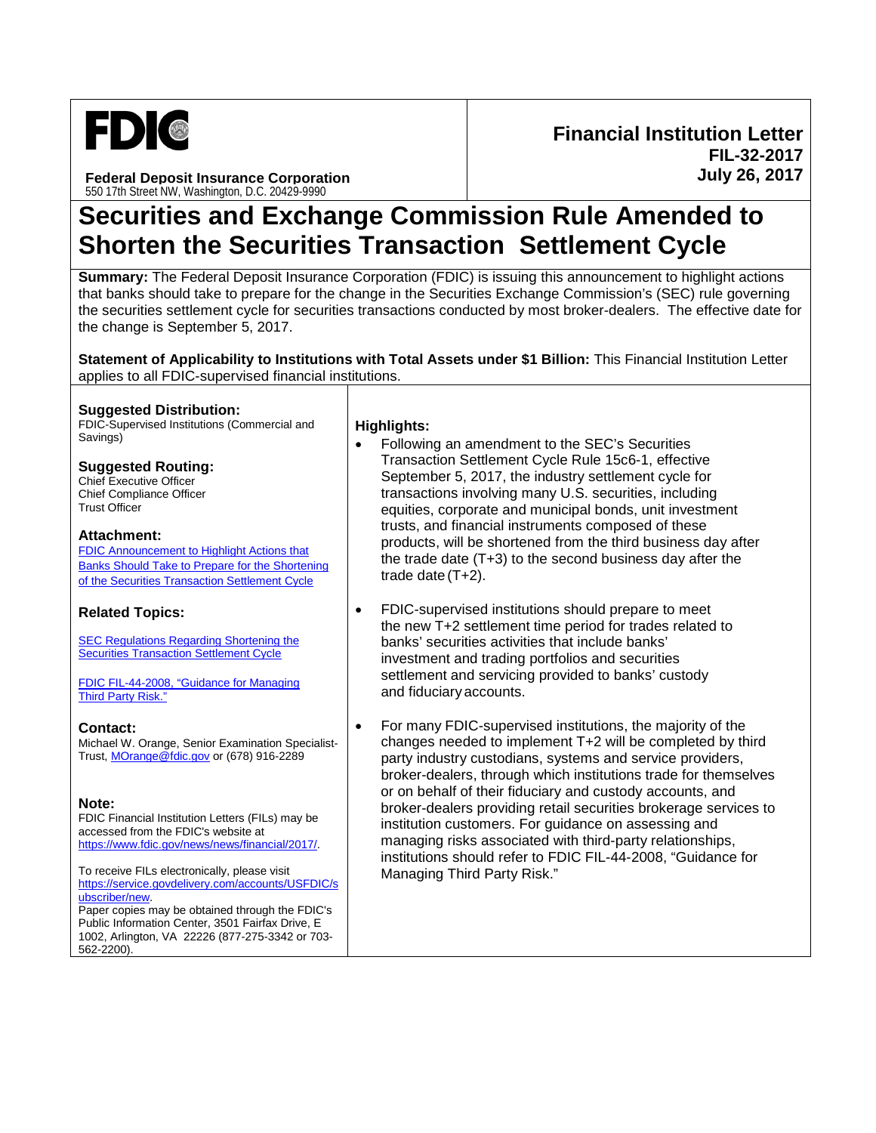

**Federal Deposit Insurance Corporation** 550 17th Street NW, Washington, D.C. 20429-9990

**Financial Institution Letter FIL-32-2017 July 26, 2017**

# **Securities and Exchange Commission Rule Amended to Shorten the Securities Transaction Settlement Cycle**

**Summary:** The Federal Deposit Insurance Corporation (FDIC) is issuing this announcement to highlight actions that banks should take to prepare for the change in the Securities Exchange Commission's (SEC) rule governing the securities settlement cycle for securities transactions conducted by most broker-dealers. The effective date for the change is September 5, 2017.

**Statement of Applicability to Institutions with Total Assets under \$1 Billion:** This Financial Institution Letter applies to all FDIC-supervised financial institutions.

#### **Suggested Distribution:**

FDIC-Supervised Institutions (Commercial and Savings) **Highlights:**

#### **Suggested Routing:**

Chief Executive Officer Chief Compliance Officer Trust Officer

#### **Attachment:**

[FDIC Announcement to Highlight Actions that](https://www.fdic.gov/news/news/financial/2017/fil17032a.pdf)  [Banks Should Take to Prepare for the Shortening](https://www.fdic.gov/news/news/financial/2017/fil17032a.pdf)  [of the Securities Transaction Settlement Cycle](https://www.fdic.gov/news/news/financial/2017/fil17032a.pdf)

### **Related Topics:**

**[SEC Regulations Regarding Shortening the](https://www.sec.gov/news/press-release/2017-68-0)** [Securities Transaction](https://www.sec.gov/news/press-release/2017-68-0) Settlement Cycle

[FDIC FIL-44-2008, "Guidance for Managing](https://www.fdic.gov/news/news/financial/2008/fil08044.html)  [Third Party Risk."](https://www.fdic.gov/news/news/financial/2008/fil08044.html)

#### **Contact:**

Michael W. Orange, Senior Examination Specialist-Trust, [MOrange@fdic.gov](mailto:MOrange@fdic.gov) or (678) 916-2289

### **Note:**

FDIC Financial Institution Letters (FILs) may be accessed from the FDIC's website at [https://www.fdic.gov/news/news/financial/2017/.](https://www.fdic.gov/news/news/financial/2017/)

To receive FILs electronically, please visit [https://service.govdelivery.com/accounts/USFDIC/s](https://service.govdelivery.com/accounts/USFDIC/subscriber/new) [ubscriber/new.](https://service.govdelivery.com/accounts/USFDIC/subscriber/new)  Paper copies may be obtained through the FDIC's Public Information Center, 3501 Fairfax Drive, E 1002, Arlington, VA 22226 (877-275-3342 or 703- 562-2200).

- Following an amendment to the SEC's Securities Transaction Settlement Cycle Rule 15c6-1, effective September 5, 2017, the industry settlement cycle for transactions involving many U.S. securities, including equities, corporate and municipal bonds, unit investment trusts, and financial instruments composed of these products, will be shortened from the third business day after the trade date (T+3) to the second business day after the trade date (T+2).
- FDIC-supervised institutions should prepare to meet the new T+2 settlement time period for trades related to banks' securities activities that include banks' investment and trading portfolios and securities settlement and servicing provided to banks' custody and fiduciary accounts.
- For many FDIC-supervised institutions, the majority of the changes needed to implement T+2 will be completed by third party industry custodians, systems and service providers, broker-dealers, through which institutions trade for themselves or on behalf of their fiduciary and custody accounts, and broker-dealers providing retail securities brokerage services to institution customers. For guidance on assessing and managing risks associated with third-party relationships, institutions should refer to FDIC FIL-44-2008, "Guidance for Managing Third Party Risk."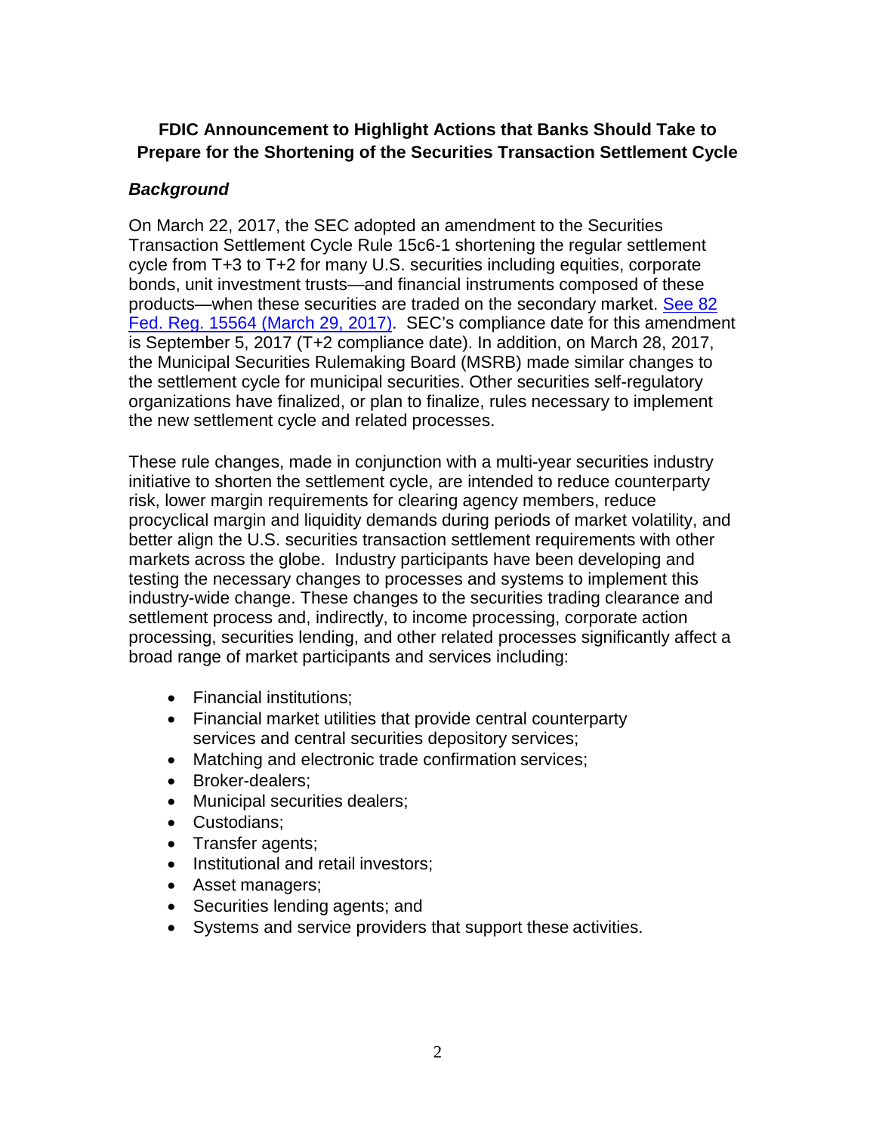# **FDIC Announcement to Highlight Actions that Banks Should Take to Prepare for the Shortening of the Securities Transaction Settlement Cycle**

# *Background*

On March 22, 2017, the SEC adopted an amendment to the Securities Transaction Settlement Cycle Rule 15c6-1 shortening the regular settlement cycle from T+3 to T+2 for many U.S. securities including equities, corporate bonds, unit investment trusts—and financial instruments composed of these products—when these securities are traded on the secondary market. [See 82](https://www.gpo.gov/fdsys/pkg/FR-2017-03-29/pdf/2017-06037.pdf)  [Fed. Reg. 15564 \(March 29, 2017\).](https://www.gpo.gov/fdsys/pkg/FR-2017-03-29/pdf/2017-06037.pdf) SEC's compliance date for this amendment is September 5, 2017 (T+2 compliance date). In addition, on March 28, 2017, the Municipal Securities Rulemaking Board (MSRB) made similar changes to the settlement cycle for municipal securities. Other securities self-regulatory organizations have finalized, or plan to finalize, rules necessary to implement the new settlement cycle and related processes.

These rule changes, made in conjunction with a multi-year securities industry initiative to shorten the settlement cycle, are intended to reduce counterparty risk, lower margin requirements for clearing agency members, reduce procyclical margin and liquidity demands during periods of market volatility, and better align the U.S. securities transaction settlement requirements with other markets across the globe. Industry participants have been developing and testing the necessary changes to processes and systems to implement this industry-wide change. These changes to the securities trading clearance and settlement process and, indirectly, to income processing, corporate action processing, securities lending, and other related processes significantly affect a broad range of market participants and services including:

- Financial institutions;
- Financial market utilities that provide central counterparty services and central securities depository services;
- Matching and electronic trade confirmation services;
- Broker-dealers;
- Municipal securities dealers;
- Custodians;
- Transfer agents;
- Institutional and retail investors;
- Asset managers;
- Securities lending agents; and
- Systems and service providers that support these activities.